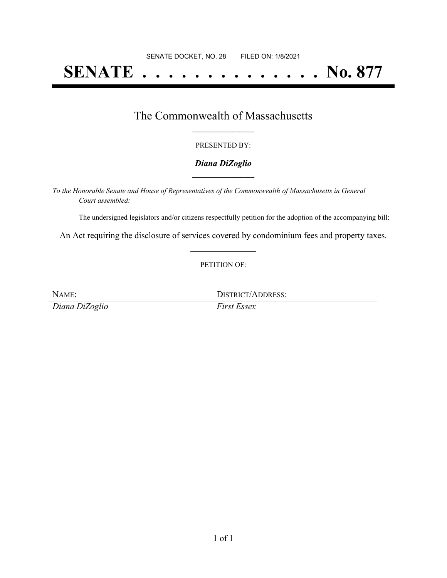# **SENATE . . . . . . . . . . . . . . No. 877**

## The Commonwealth of Massachusetts **\_\_\_\_\_\_\_\_\_\_\_\_\_\_\_\_\_**

#### PRESENTED BY:

#### *Diana DiZoglio* **\_\_\_\_\_\_\_\_\_\_\_\_\_\_\_\_\_**

*To the Honorable Senate and House of Representatives of the Commonwealth of Massachusetts in General Court assembled:*

The undersigned legislators and/or citizens respectfully petition for the adoption of the accompanying bill:

An Act requiring the disclosure of services covered by condominium fees and property taxes. **\_\_\_\_\_\_\_\_\_\_\_\_\_\_\_**

#### PETITION OF:

NAME: DISTRICT/ADDRESS: *Diana DiZoglio First Essex*